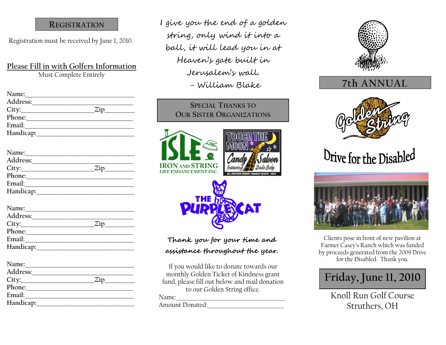#### **REGISTRATION**

Registration must be received by June 1, 2010.

#### **Please Fill in with Golfers Information** Must Complete Entirely

Name: **Address:\_\_\_\_\_\_\_\_\_\_\_\_\_\_\_\_\_\_\_\_\_\_\_\_\_\_\_\_\_\_\_\_\_\_\_\_\_ City:\_\_\_\_\_\_\_\_\_\_\_\_\_\_\_\_\_\_\_\_\_\_\_\_\_\_\_Zip\_\_\_\_\_\_\_\_\_\_\_ Phone:\_\_\_\_\_\_\_\_\_\_\_\_\_\_\_\_\_\_\_\_\_\_\_\_\_\_\_\_\_\_\_\_\_\_\_\_\_\_\_ Email: Handicap:\_\_\_\_\_\_\_\_\_\_\_\_\_\_\_\_\_\_\_\_\_\_\_\_\_\_\_\_\_\_\_\_\_\_\_\_**

| Name:     |     |
|-----------|-----|
| Address:  |     |
|           | Zip |
| Phone:    |     |
| Email:    |     |
| Handicap: |     |

| Name:     |     |
|-----------|-----|
| Address:  |     |
| City:     | Zip |
| Phone:    |     |
| Email:    |     |
| Handicap: |     |

| Name:     |     |
|-----------|-----|
| Address:  |     |
| City:     | Zin |
| Phone:    |     |
| Email:    |     |
| Handicap: |     |

I give you the end of a golden string, only wind it into a ball, it will lead you in at Heaven's gate built in Jerusalem's wall. - William Blake

### **SPECIAL THANKS TO OUR SISTER ORGANIZATIONS**







### **Thank you for your time and assistance throughout the year.**

If you would like to donate towards our monthly Golden Ticket of Kindness grant fund, please fill out below and mail donation to our Golden String office.

#### Name:

Amount Donated:



## **7th ANNUAL**



# Drive for the Disabled



Clients pose in front of new pavilion at Farmer Casey's Ranch which was funded by proceeds generated from the 2009 Drive for the Disabled. Thank you.



Knoll Run Golf Course Struthers, OH